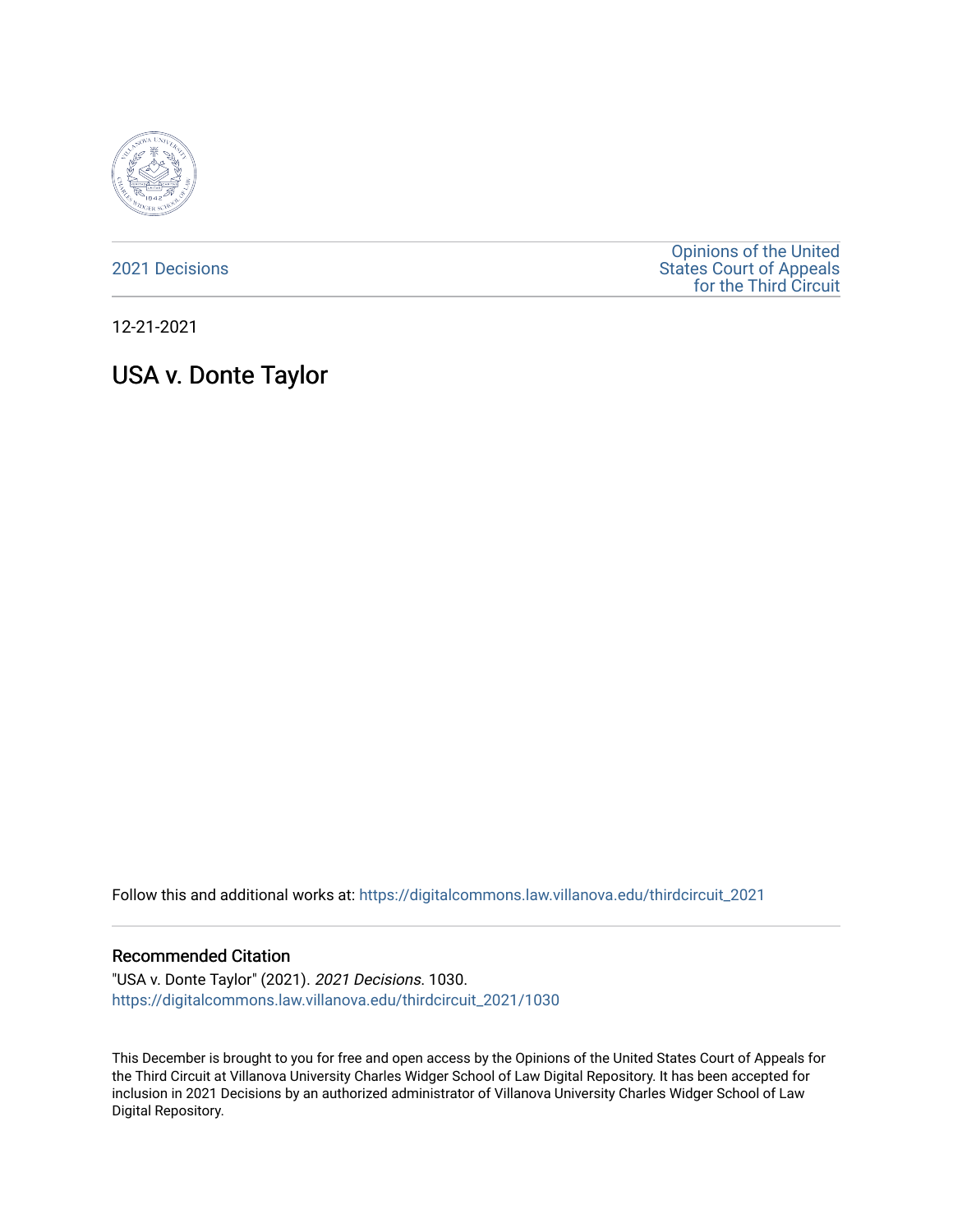

[2021 Decisions](https://digitalcommons.law.villanova.edu/thirdcircuit_2021)

[Opinions of the United](https://digitalcommons.law.villanova.edu/thirdcircuit)  [States Court of Appeals](https://digitalcommons.law.villanova.edu/thirdcircuit)  [for the Third Circuit](https://digitalcommons.law.villanova.edu/thirdcircuit) 

12-21-2021

# USA v. Donte Taylor

Follow this and additional works at: [https://digitalcommons.law.villanova.edu/thirdcircuit\\_2021](https://digitalcommons.law.villanova.edu/thirdcircuit_2021?utm_source=digitalcommons.law.villanova.edu%2Fthirdcircuit_2021%2F1030&utm_medium=PDF&utm_campaign=PDFCoverPages) 

#### Recommended Citation

"USA v. Donte Taylor" (2021). 2021 Decisions. 1030. [https://digitalcommons.law.villanova.edu/thirdcircuit\\_2021/1030](https://digitalcommons.law.villanova.edu/thirdcircuit_2021/1030?utm_source=digitalcommons.law.villanova.edu%2Fthirdcircuit_2021%2F1030&utm_medium=PDF&utm_campaign=PDFCoverPages) 

This December is brought to you for free and open access by the Opinions of the United States Court of Appeals for the Third Circuit at Villanova University Charles Widger School of Law Digital Repository. It has been accepted for inclusion in 2021 Decisions by an authorized administrator of Villanova University Charles Widger School of Law Digital Repository.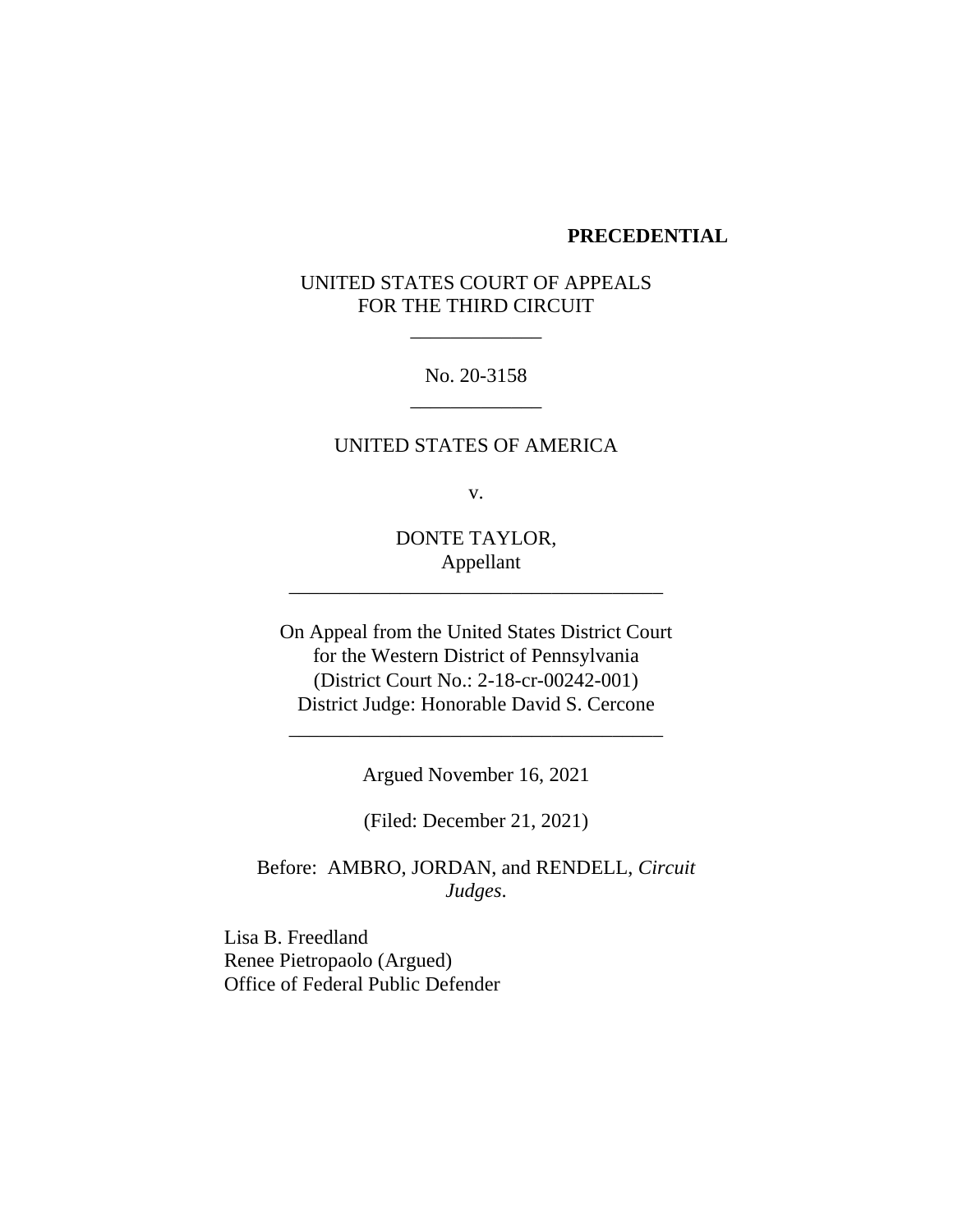#### **PRECEDENTIAL**

# UNITED STATES COURT OF APPEALS FOR THE THIRD CIRCUIT

\_\_\_\_\_\_\_\_\_\_\_\_\_

No. 20-3158 \_\_\_\_\_\_\_\_\_\_\_\_\_

UNITED STATES OF AMERICA

v.

DONTE TAYLOR, Appellant

\_\_\_\_\_\_\_\_\_\_\_\_\_\_\_\_\_\_\_\_\_\_\_\_\_\_\_\_\_\_\_\_\_\_\_\_\_

On Appeal from the United States District Court for the Western District of Pennsylvania (District Court No.: 2-18-cr-00242-001) District Judge: Honorable David S. Cercone

Argued November 16, 2021

\_\_\_\_\_\_\_\_\_\_\_\_\_\_\_\_\_\_\_\_\_\_\_\_\_\_\_\_\_\_\_\_\_\_\_\_\_

(Filed: December 21, 2021)

Before: AMBRO, JORDAN, and RENDELL, *Circuit Judges*.

Lisa B. Freedland Renee Pietropaolo (Argued) Office of Federal Public Defender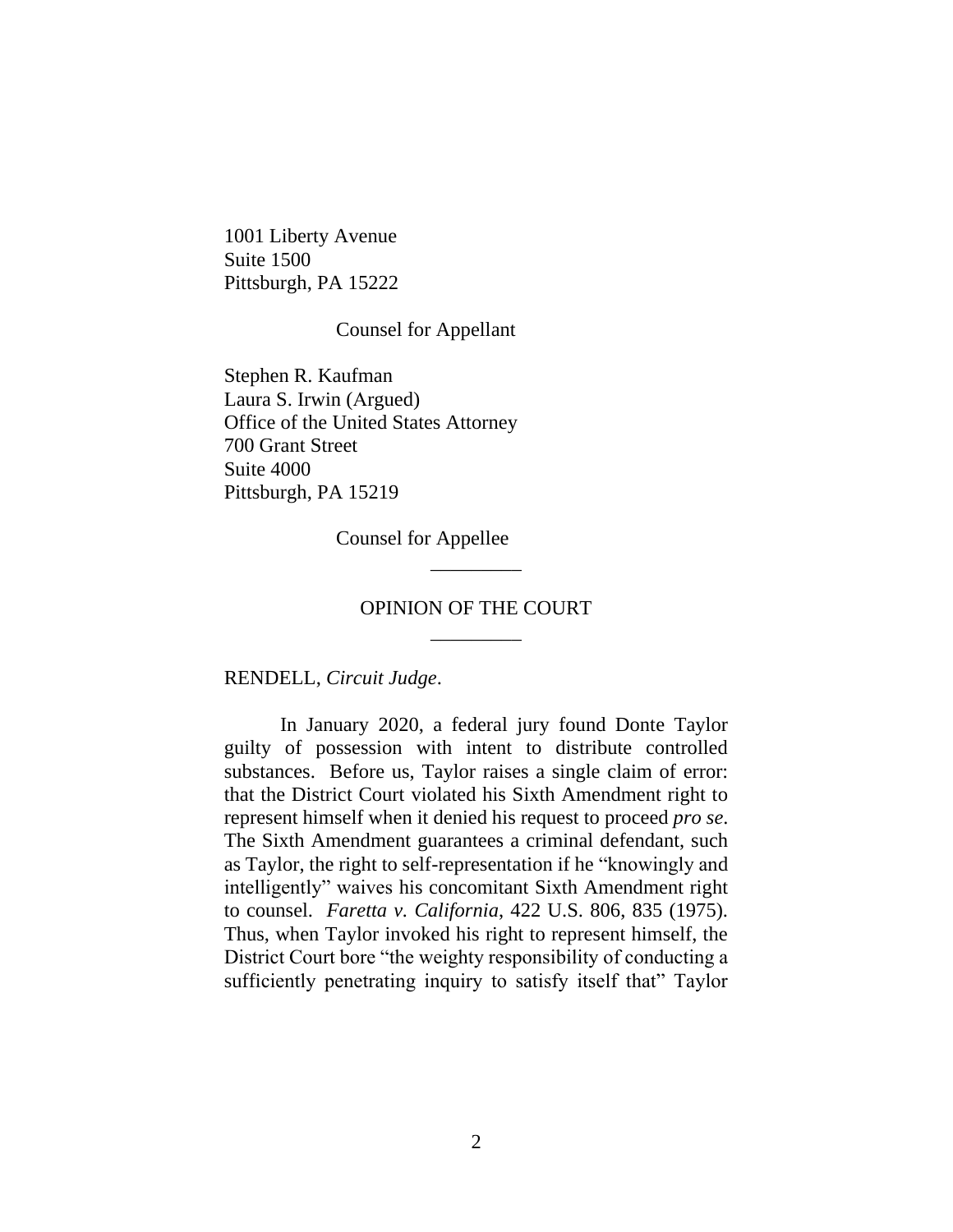1001 Liberty Avenue Suite 1500 Pittsburgh, PA 15222

#### Counsel for Appellant

Stephen R. Kaufman Laura S. Irwin (Argued) Office of the United States Attorney 700 Grant Street Suite 4000 Pittsburgh, PA 15219

Counsel for Appellee

# OPINION OF THE COURT \_\_\_\_\_\_\_\_\_

\_\_\_\_\_\_\_\_\_

RENDELL, *Circuit Judge*.

In January 2020, a federal jury found Donte Taylor guilty of possession with intent to distribute controlled substances. Before us, Taylor raises a single claim of error: that the District Court violated his Sixth Amendment right to represent himself when it denied his request to proceed *pro se*. The Sixth Amendment guarantees a criminal defendant, such as Taylor, the right to self-representation if he "knowingly and intelligently" waives his concomitant Sixth Amendment right to counsel. *Faretta v. California*, 422 U.S. 806, 835 (1975). Thus, when Taylor invoked his right to represent himself, the District Court bore "the weighty responsibility of conducting a sufficiently penetrating inquiry to satisfy itself that" Taylor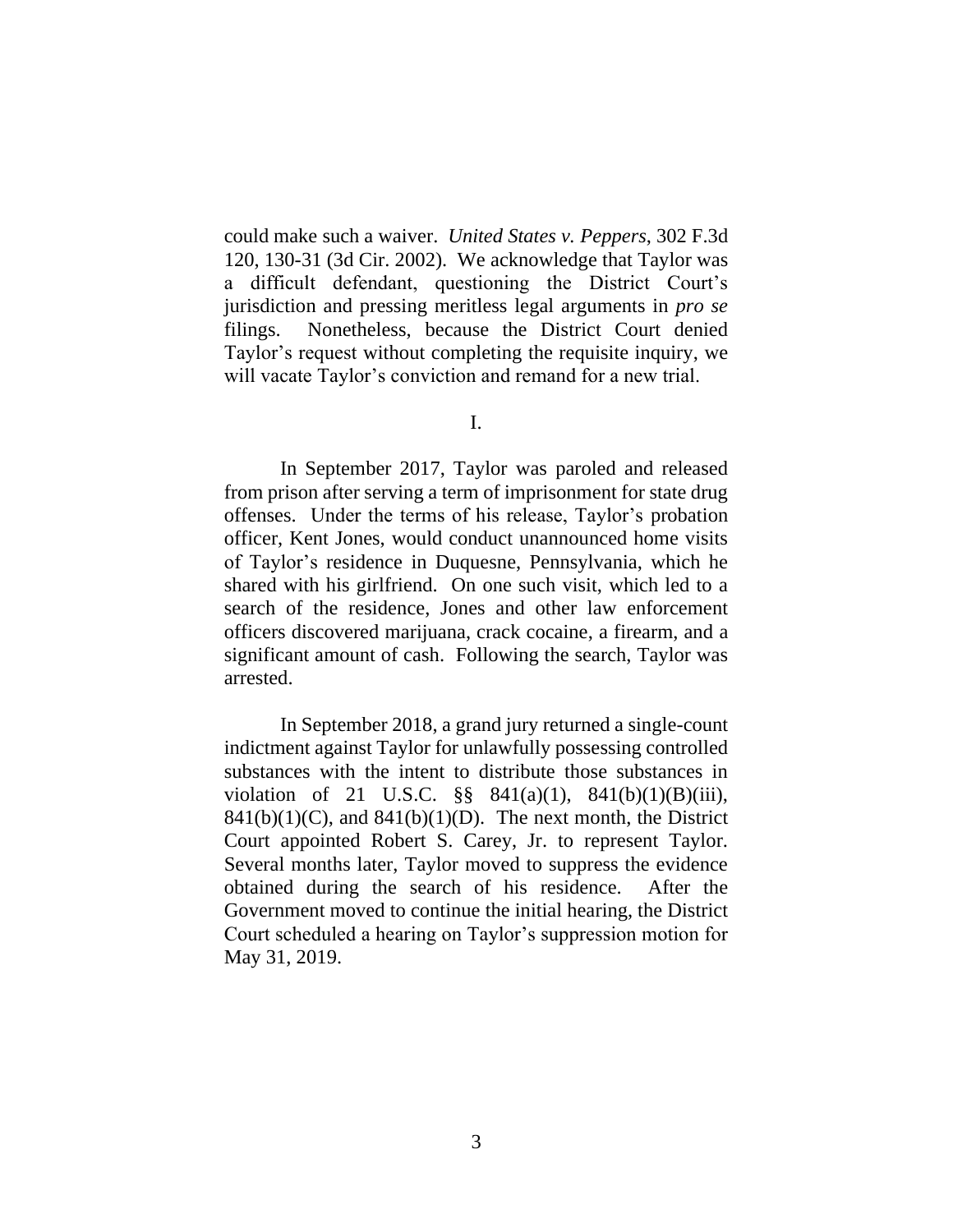could make such a waiver. *United States v. Peppers*, 302 F.3d 120, 130-31 (3d Cir. 2002). We acknowledge that Taylor was a difficult defendant, questioning the District Court's jurisdiction and pressing meritless legal arguments in *pro se*  filings. Nonetheless, because the District Court denied Taylor's request without completing the requisite inquiry, we will vacate Taylor's conviction and remand for a new trial.

I.

In September 2017, Taylor was paroled and released from prison after serving a term of imprisonment for state drug offenses. Under the terms of his release, Taylor's probation officer, Kent Jones, would conduct unannounced home visits of Taylor's residence in Duquesne, Pennsylvania, which he shared with his girlfriend. On one such visit, which led to a search of the residence, Jones and other law enforcement officers discovered marijuana, crack cocaine, a firearm, and a significant amount of cash. Following the search, Taylor was arrested.

In September 2018, a grand jury returned a single-count indictment against Taylor for unlawfully possessing controlled substances with the intent to distribute those substances in violation of 21 U.S.C.  $\S$  841(a)(1), 841(b)(1)(B)(iii),  $841(b)(1)(C)$ , and  $841(b)(1)(D)$ . The next month, the District Court appointed Robert S. Carey, Jr. to represent Taylor. Several months later, Taylor moved to suppress the evidence obtained during the search of his residence. After the Government moved to continue the initial hearing, the District Court scheduled a hearing on Taylor's suppression motion for May 31, 2019.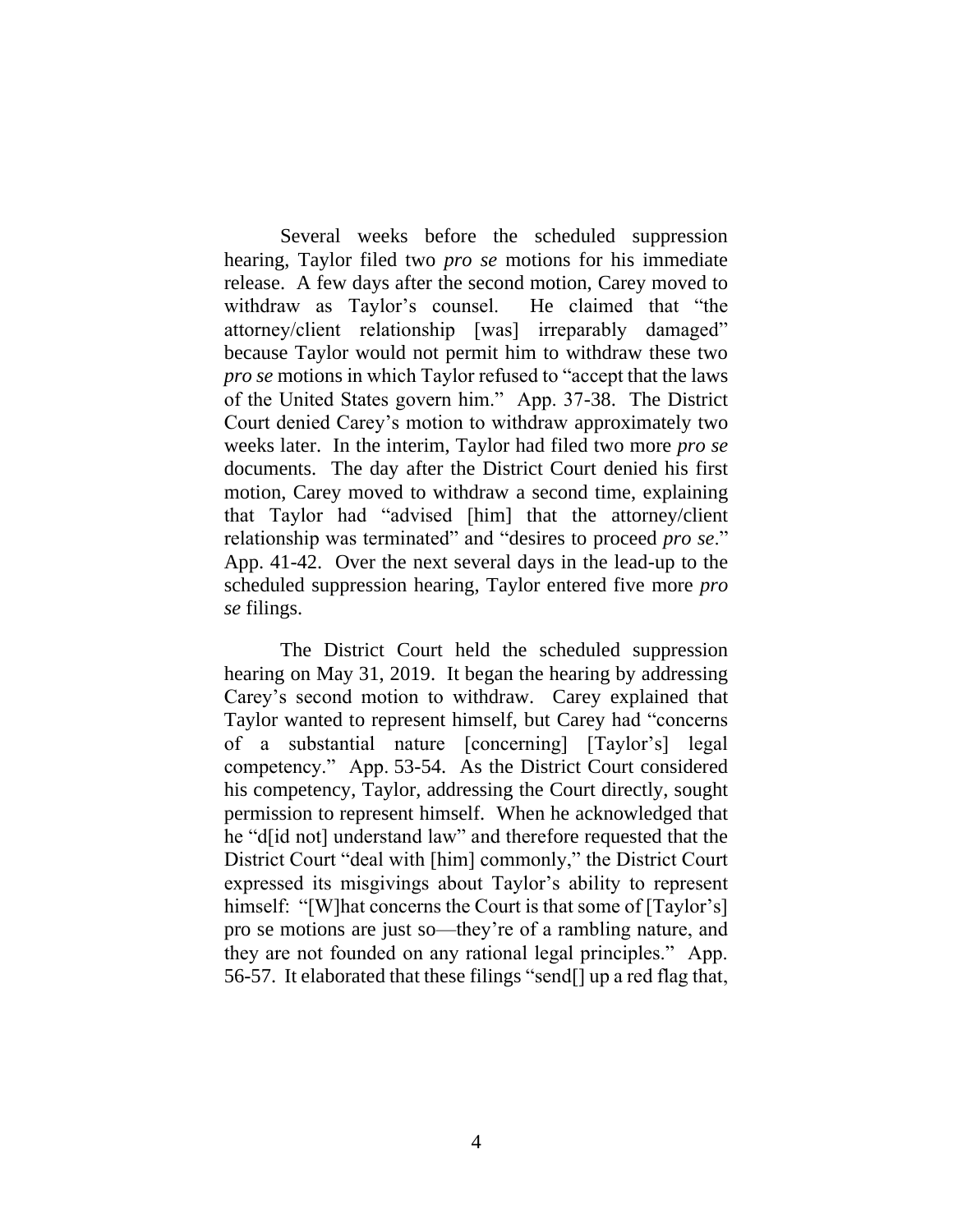Several weeks before the scheduled suppression hearing, Taylor filed two *pro se* motions for his immediate release. A few days after the second motion, Carey moved to withdraw as Taylor's counsel. He claimed that "the attorney/client relationship [was] irreparably damaged" because Taylor would not permit him to withdraw these two *pro se* motions in which Taylor refused to "accept that the laws of the United States govern him." App. 37-38. The District Court denied Carey's motion to withdraw approximately two weeks later. In the interim, Taylor had filed two more *pro se* documents. The day after the District Court denied his first motion, Carey moved to withdraw a second time, explaining that Taylor had "advised [him] that the attorney/client relationship was terminated" and "desires to proceed *pro se*." App. 41-42. Over the next several days in the lead-up to the scheduled suppression hearing, Taylor entered five more *pro se* filings.

The District Court held the scheduled suppression hearing on May 31, 2019. It began the hearing by addressing Carey's second motion to withdraw. Carey explained that Taylor wanted to represent himself, but Carey had "concerns of a substantial nature [concerning] [Taylor's] legal competency." App. 53-54. As the District Court considered his competency, Taylor, addressing the Court directly, sought permission to represent himself. When he acknowledged that he "d[id not] understand law" and therefore requested that the District Court "deal with [him] commonly," the District Court expressed its misgivings about Taylor's ability to represent himself: "[W]hat concerns the Court is that some of [Taylor's] pro se motions are just so—they're of a rambling nature, and they are not founded on any rational legal principles." App. 56-57. It elaborated that these filings "send[] up a red flag that,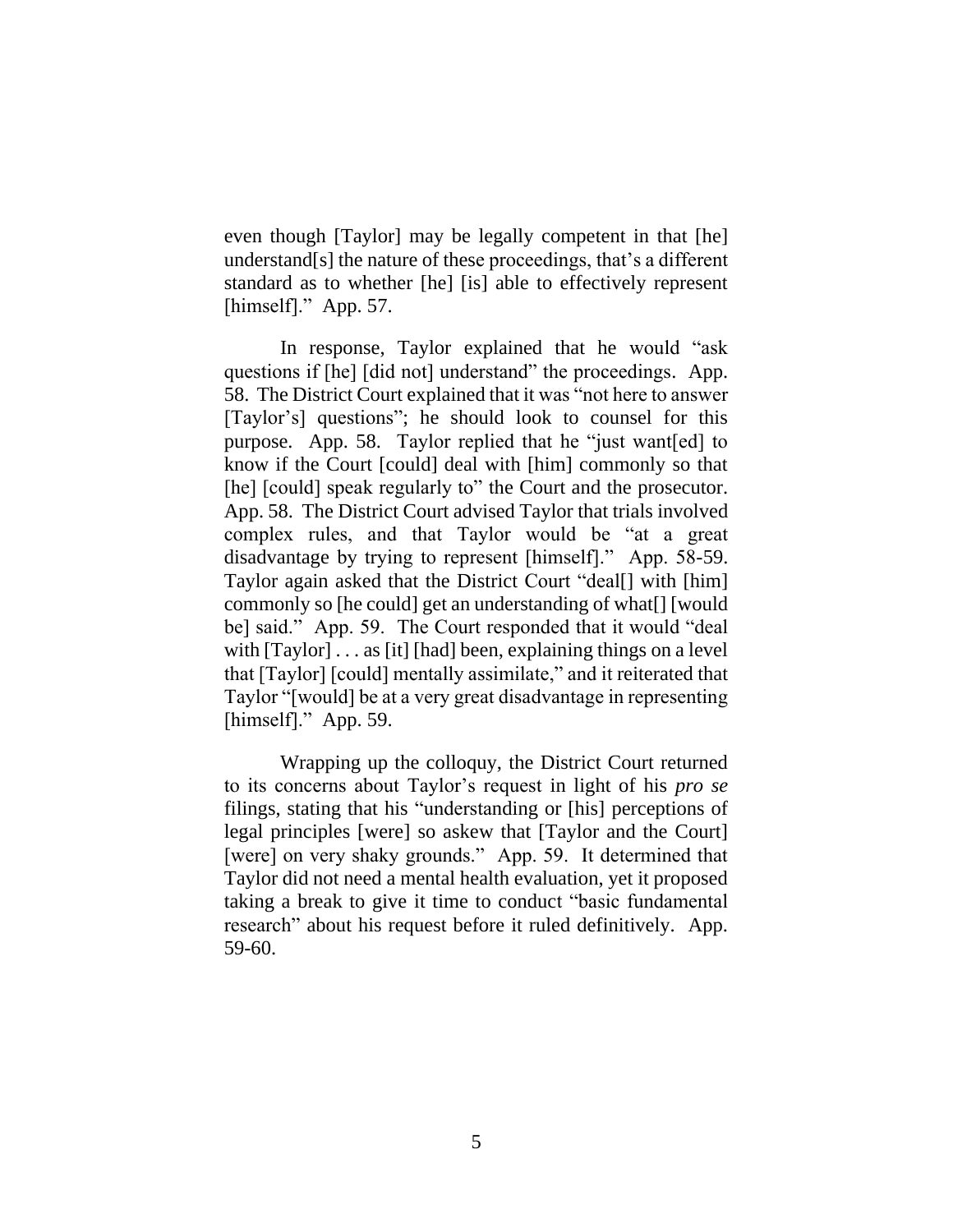even though [Taylor] may be legally competent in that [he] understand[s] the nature of these proceedings, that's a different standard as to whether [he] [is] able to effectively represent [himself]." App. 57.

In response, Taylor explained that he would "ask questions if [he] [did not] understand" the proceedings. App. 58. The District Court explained that it was "not here to answer [Taylor's] questions"; he should look to counsel for this purpose. App. 58. Taylor replied that he "just want[ed] to know if the Court [could] deal with [him] commonly so that [he] [could] speak regularly to" the Court and the prosecutor. App. 58. The District Court advised Taylor that trials involved complex rules, and that Taylor would be "at a great disadvantage by trying to represent [himself]." App. 58-59. Taylor again asked that the District Court "deal[] with [him] commonly so [he could] get an understanding of what[] [would be] said." App. 59. The Court responded that it would "deal with  $[Taylor] \dots$  as [it] [had] been, explaining things on a level that [Taylor] [could] mentally assimilate," and it reiterated that Taylor "[would] be at a very great disadvantage in representing [himself]." App. 59.

Wrapping up the colloquy, the District Court returned to its concerns about Taylor's request in light of his *pro se*  filings, stating that his "understanding or [his] perceptions of legal principles [were] so askew that [Taylor and the Court] [were] on very shaky grounds." App. 59. It determined that Taylor did not need a mental health evaluation, yet it proposed taking a break to give it time to conduct "basic fundamental research" about his request before it ruled definitively. App. 59-60.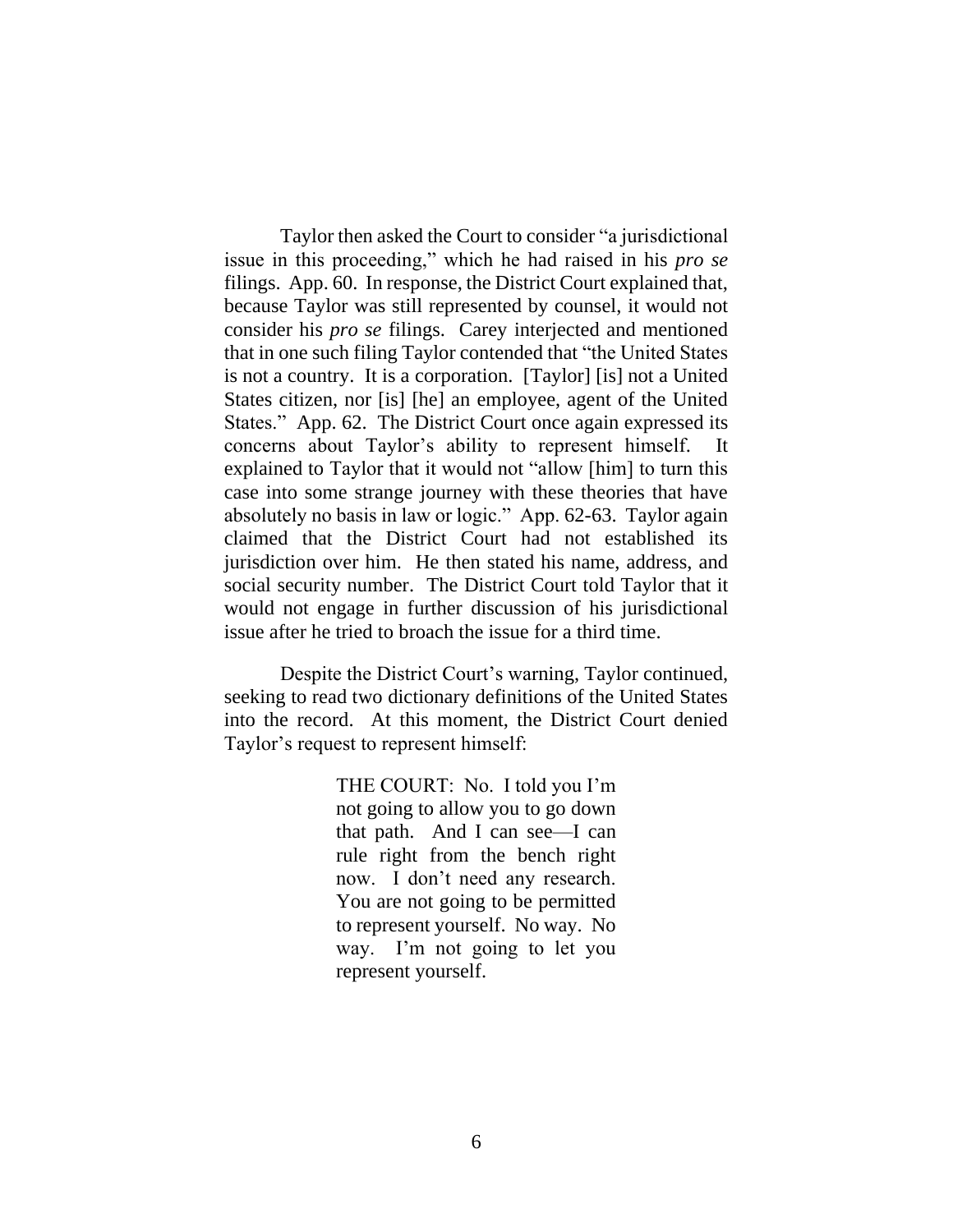Taylor then asked the Court to consider "a jurisdictional issue in this proceeding," which he had raised in his *pro se*  filings. App. 60. In response, the District Court explained that, because Taylor was still represented by counsel, it would not consider his *pro se* filings. Carey interjected and mentioned that in one such filing Taylor contended that "the United States is not a country. It is a corporation. [Taylor] [is] not a United States citizen, nor [is] [he] an employee, agent of the United States." App. 62. The District Court once again expressed its concerns about Taylor's ability to represent himself. It explained to Taylor that it would not "allow [him] to turn this case into some strange journey with these theories that have absolutely no basis in law or logic." App. 62-63. Taylor again claimed that the District Court had not established its jurisdiction over him. He then stated his name, address, and social security number. The District Court told Taylor that it would not engage in further discussion of his jurisdictional issue after he tried to broach the issue for a third time.

Despite the District Court's warning, Taylor continued, seeking to read two dictionary definitions of the United States into the record. At this moment, the District Court denied Taylor's request to represent himself:

> THE COURT: No. I told you I'm not going to allow you to go down that path. And I can see—I can rule right from the bench right now. I don't need any research. You are not going to be permitted to represent yourself. No way. No way. I'm not going to let you represent yourself.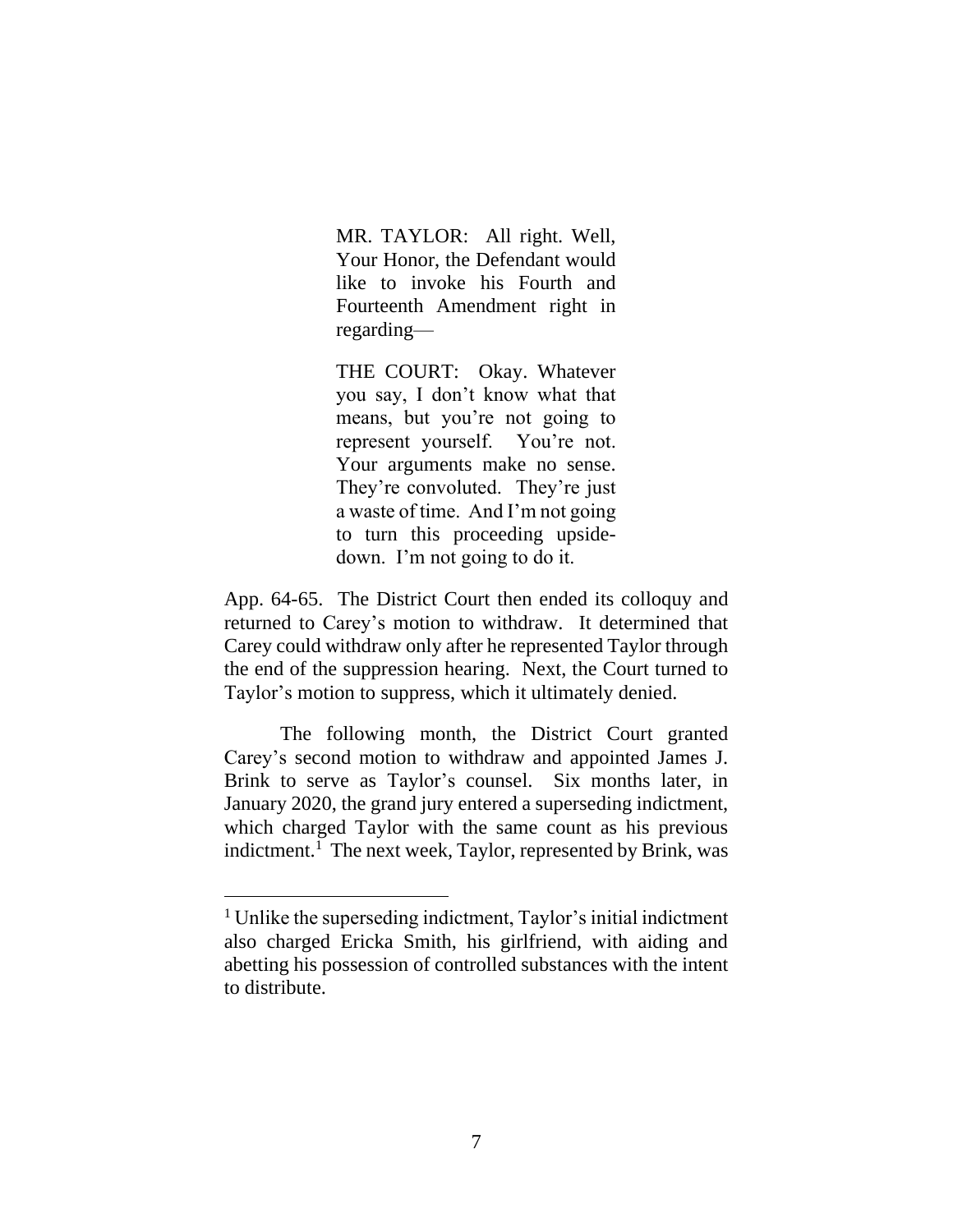MR. TAYLOR: All right. Well, Your Honor, the Defendant would like to invoke his Fourth and Fourteenth Amendment right in regarding—

THE COURT: Okay. Whatever you say, I don't know what that means, but you're not going to represent yourself. You're not. Your arguments make no sense. They're convoluted. They're just a waste of time. And I'm not going to turn this proceeding upsidedown. I'm not going to do it.

App. 64-65. The District Court then ended its colloquy and returned to Carey's motion to withdraw. It determined that Carey could withdraw only after he represented Taylor through the end of the suppression hearing. Next, the Court turned to Taylor's motion to suppress, which it ultimately denied.

The following month, the District Court granted Carey's second motion to withdraw and appointed James J. Brink to serve as Taylor's counsel. Six months later, in January 2020, the grand jury entered a superseding indictment, which charged Taylor with the same count as his previous indictment.<sup>1</sup> The next week, Taylor, represented by Brink, was

<sup>&</sup>lt;sup>1</sup> Unlike the superseding indictment, Taylor's initial indictment also charged Ericka Smith, his girlfriend, with aiding and abetting his possession of controlled substances with the intent to distribute.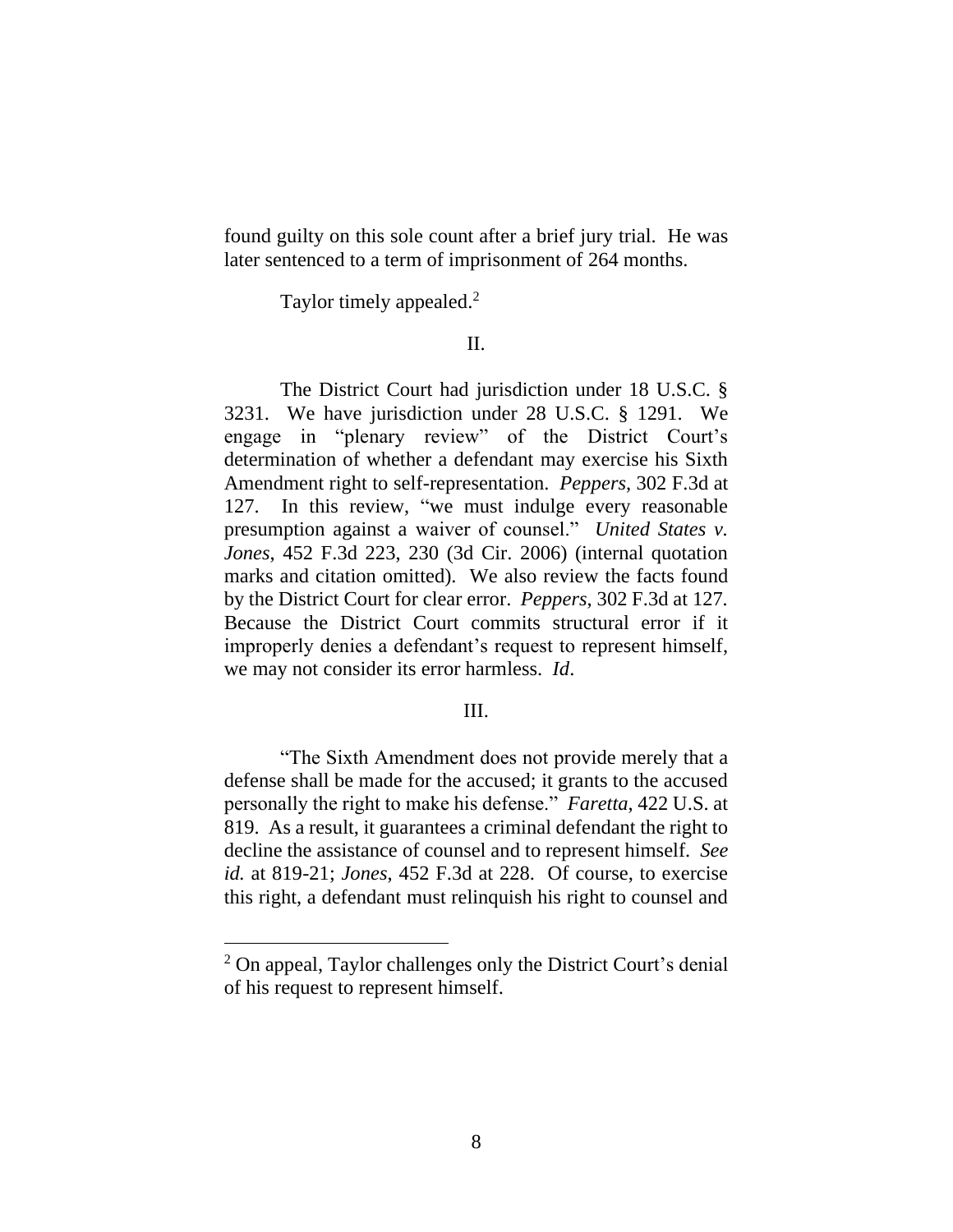found guilty on this sole count after a brief jury trial. He was later sentenced to a term of imprisonment of 264 months.

Taylor timely appealed.<sup>2</sup>

## II.

The District Court had jurisdiction under 18 U.S.C. § 3231. We have jurisdiction under 28 U.S.C. § 1291. We engage in "plenary review" of the District Court's determination of whether a defendant may exercise his Sixth Amendment right to self-representation. *Peppers*, 302 F.3d at 127. In this review, "we must indulge every reasonable presumption against a waiver of counsel." *United States v. Jones*, 452 F.3d 223, 230 (3d Cir. 2006) (internal quotation marks and citation omitted). We also review the facts found by the District Court for clear error. *Peppers*, 302 F.3d at 127*.* Because the District Court commits structural error if it improperly denies a defendant's request to represent himself, we may not consider its error harmless. *Id*.

## III.

"The Sixth Amendment does not provide merely that a defense shall be made for the accused; it grants to the accused personally the right to make his defense." *Faretta*, 422 U.S. at 819. As a result, it guarantees a criminal defendant the right to decline the assistance of counsel and to represent himself. *See id.* at 819-21; *Jones*, 452 F.3d at 228. Of course, to exercise this right, a defendant must relinquish his right to counsel and

<sup>2</sup> On appeal, Taylor challenges only the District Court's denial of his request to represent himself.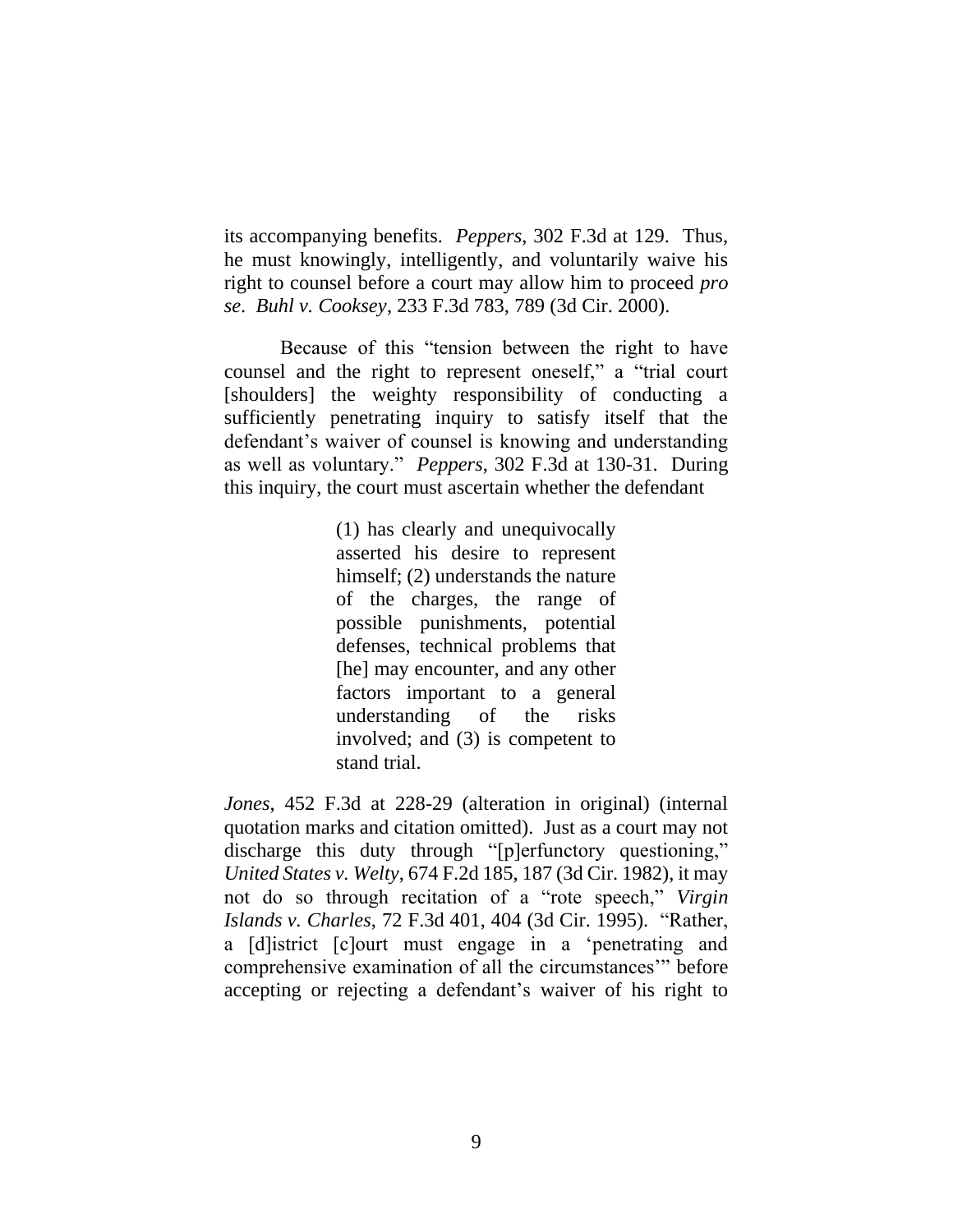its accompanying benefits. *Peppers*, 302 F.3d at 129. Thus, he must knowingly, intelligently, and voluntarily waive his right to counsel before a court may allow him to proceed *pro se*. *Buhl v. Cooksey*, 233 F.3d 783, 789 (3d Cir. 2000).

Because of this "tension between the right to have counsel and the right to represent oneself," a "trial court [shoulders] the weighty responsibility of conducting a sufficiently penetrating inquiry to satisfy itself that the defendant's waiver of counsel is knowing and understanding as well as voluntary." *Peppers*, 302 F.3d at 130-31. During this inquiry, the court must ascertain whether the defendant

> (1) has clearly and unequivocally asserted his desire to represent himself; (2) understands the nature of the charges, the range of possible punishments, potential defenses, technical problems that [he] may encounter, and any other factors important to a general understanding of the risks involved; and (3) is competent to stand trial.

*Jones*, 452 F.3d at 228-29 (alteration in original) (internal quotation marks and citation omitted). Just as a court may not discharge this duty through "[p]erfunctory questioning," *United States v. Welty*, 674 F.2d 185, 187 (3d Cir. 1982), it may not do so through recitation of a "rote speech," *Virgin Islands v. Charles*, 72 F.3d 401, 404 (3d Cir. 1995). "Rather, a [d]istrict [c]ourt must engage in a 'penetrating and comprehensive examination of all the circumstances'" before accepting or rejecting a defendant's waiver of his right to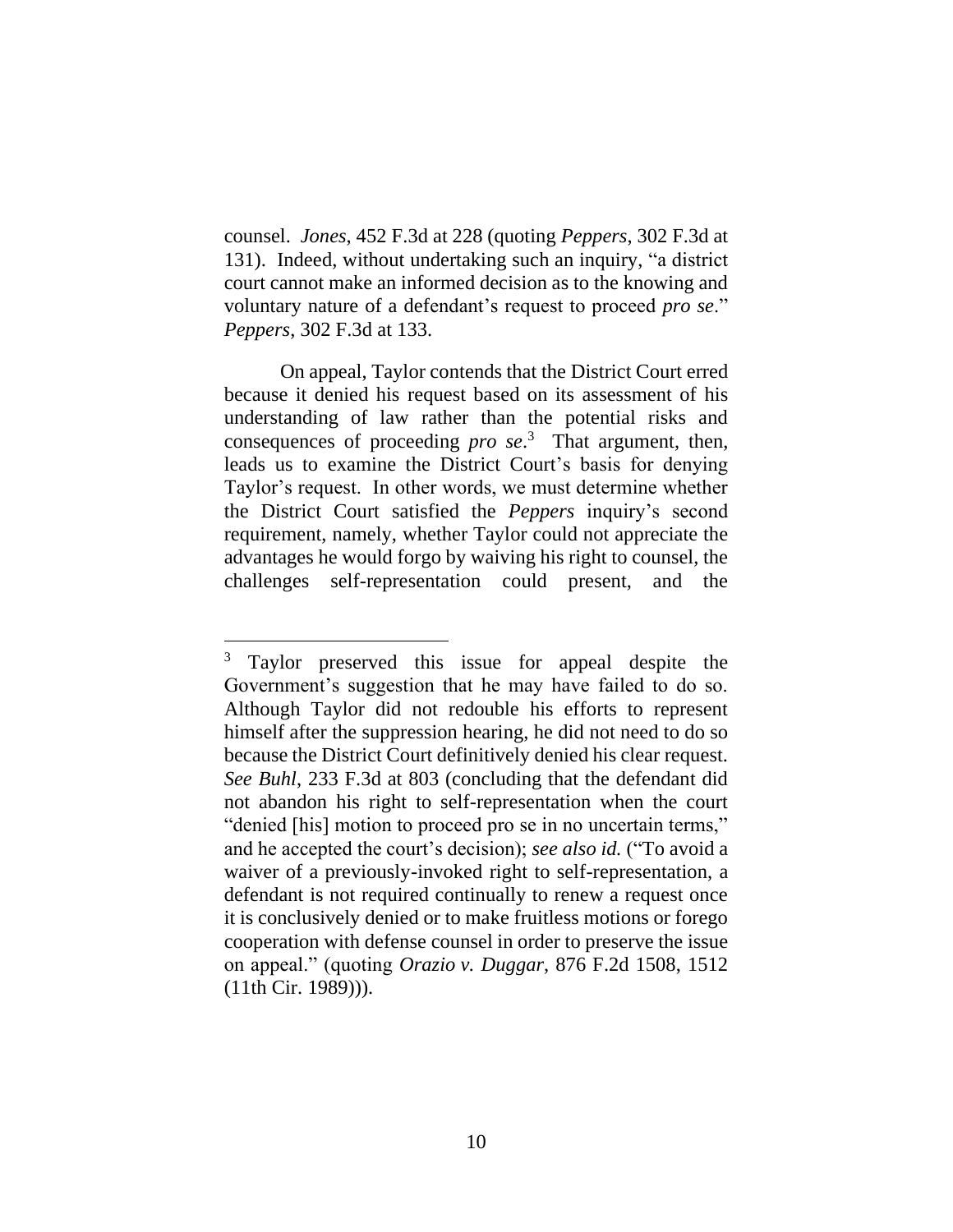counsel. *Jones*, 452 F.3d at 228 (quoting *Peppers*, 302 F.3d at 131). Indeed, without undertaking such an inquiry, "a district court cannot make an informed decision as to the knowing and voluntary nature of a defendant's request to proceed *pro se*." *Peppers*, 302 F.3d at 133.

On appeal, Taylor contends that the District Court erred because it denied his request based on its assessment of his understanding of law rather than the potential risks and consequences of proceeding *pro se*. 3 That argument, then, leads us to examine the District Court's basis for denying Taylor's request. In other words, we must determine whether the District Court satisfied the *Peppers* inquiry's second requirement, namely, whether Taylor could not appreciate the advantages he would forgo by waiving his right to counsel, the challenges self-representation could present, and the

<sup>&</sup>lt;sup>3</sup> Taylor preserved this issue for appeal despite the Government's suggestion that he may have failed to do so. Although Taylor did not redouble his efforts to represent himself after the suppression hearing, he did not need to do so because the District Court definitively denied his clear request. *See Buhl*, 233 F.3d at 803 (concluding that the defendant did not abandon his right to self-representation when the court "denied [his] motion to proceed pro se in no uncertain terms," and he accepted the court's decision); *see also id.* ("To avoid a waiver of a previously-invoked right to self-representation, a defendant is not required continually to renew a request once it is conclusively denied or to make fruitless motions or forego cooperation with defense counsel in order to preserve the issue on appeal." (quoting *Orazio v. Duggar*, 876 F.2d 1508, 1512 (11th Cir. 1989))).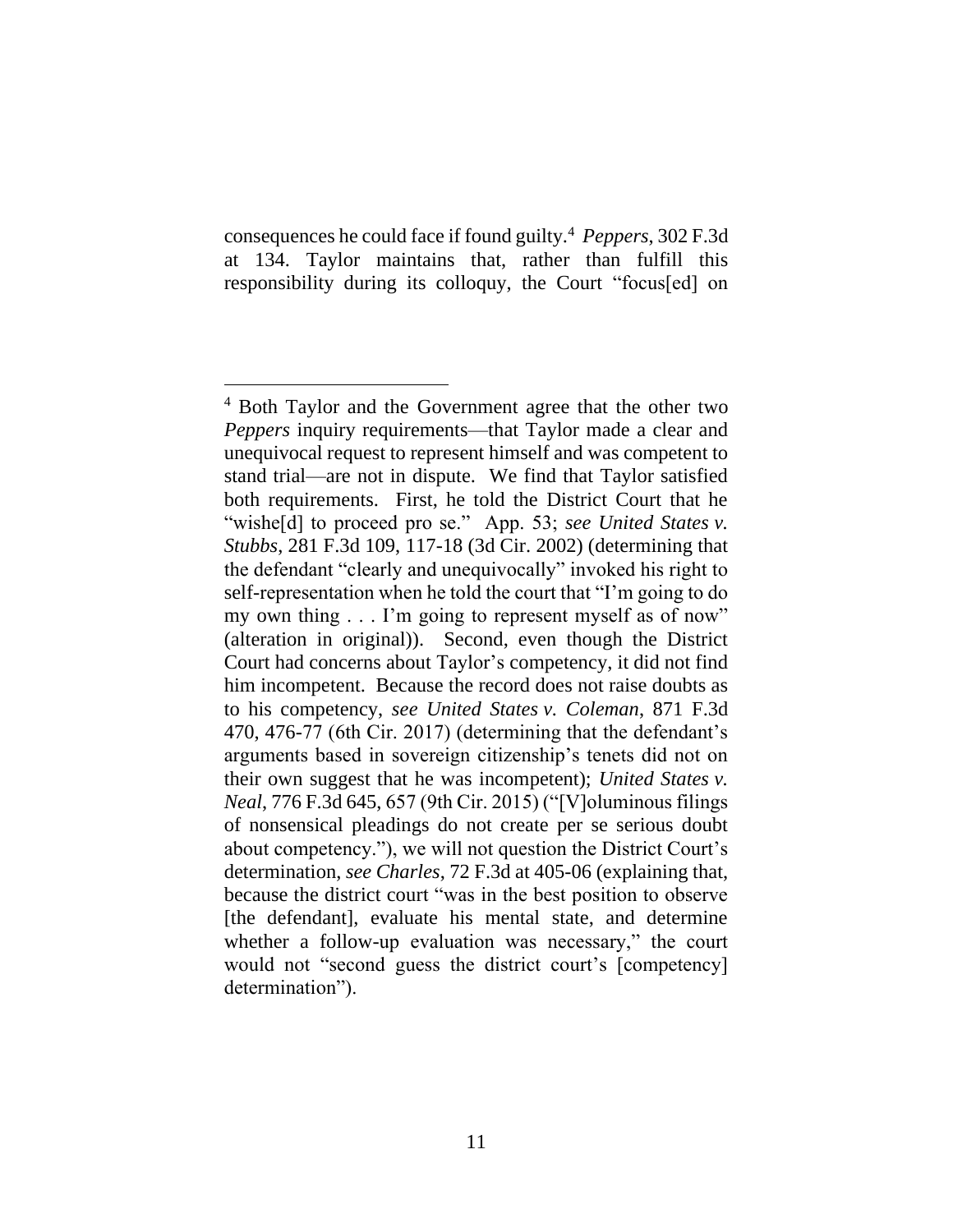consequences he could face if found guilty.<sup>4</sup> *Peppers*, 302 F.3d at 134. Taylor maintains that, rather than fulfill this responsibility during its colloquy, the Court "focus[ed] on

<sup>4</sup> Both Taylor and the Government agree that the other two *Peppers* inquiry requirements—that Taylor made a clear and unequivocal request to represent himself and was competent to stand trial—are not in dispute. We find that Taylor satisfied both requirements. First, he told the District Court that he "wishe[d] to proceed pro se." App. 53; see United States v. *Stubbs*, 281 F.3d 109, 117-18 (3d Cir. 2002) (determining that the defendant "clearly and unequivocally" invoked his right to self-representation when he told the court that "I'm going to do my own thing . . . I'm going to represent myself as of now" (alteration in original)). Second, even though the District Court had concerns about Taylor's competency, it did not find him incompetent. Because the record does not raise doubts as to his competency, *see United States v. Coleman*, 871 F.3d 470, 476-77 (6th Cir. 2017) (determining that the defendant's arguments based in sovereign citizenship's tenets did not on their own suggest that he was incompetent); *United States v. Neal*, 776 F.3d 645, 657 (9th Cir. 2015) ("[V]oluminous filings of nonsensical pleadings do not create per se serious doubt about competency."), we will not question the District Court's determination, *see Charles*, 72 F.3d at 405-06 (explaining that, because the district court "was in the best position to observe [the defendant], evaluate his mental state, and determine whether a follow-up evaluation was necessary," the court would not "second guess the district court's [competency] determination").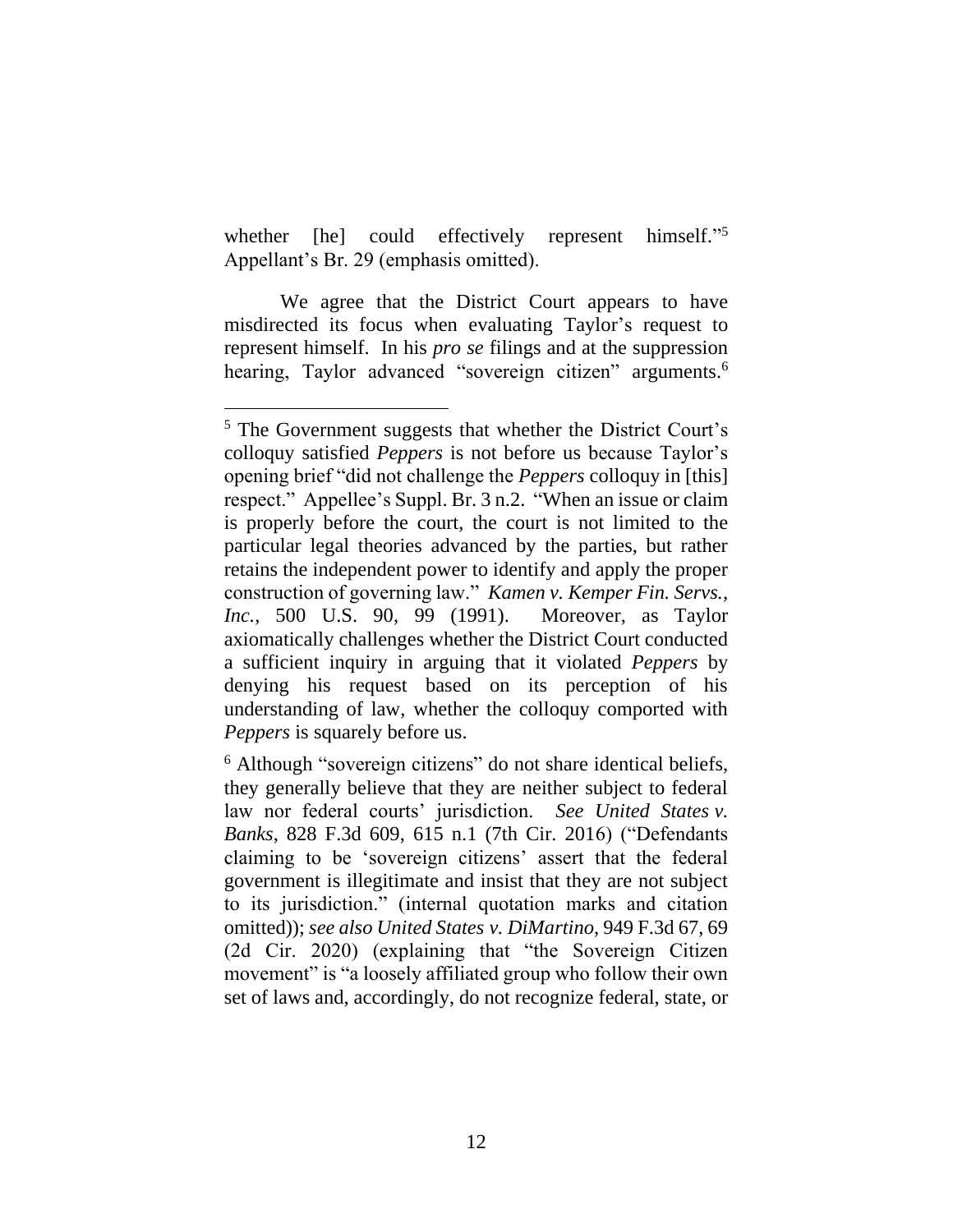whether [he] could effectively represent 5 Appellant's Br. 29 (emphasis omitted).

We agree that the District Court appears to have misdirected its focus when evaluating Taylor's request to represent himself. In his *pro se* filings and at the suppression hearing, Taylor advanced "sovereign citizen" arguments.<sup>6</sup>

<sup>5</sup> The Government suggests that whether the District Court's colloquy satisfied *Peppers* is not before us because Taylor's opening brief "did not challenge the *Peppers* colloquy in [this] respect." Appellee's Suppl. Br. 3 n.2. "When an issue or claim is properly before the court, the court is not limited to the particular legal theories advanced by the parties, but rather retains the independent power to identify and apply the proper construction of governing law." *Kamen v. Kemper Fin. Servs., Inc.*, 500 U.S. 90, 99 (1991). Moreover, as Taylor axiomatically challenges whether the District Court conducted a sufficient inquiry in arguing that it violated *Peppers* by denying his request based on its perception of his understanding of law, whether the colloquy comported with *Peppers* is squarely before us.

<sup>6</sup> Although "sovereign citizens" do not share identical beliefs, they generally believe that they are neither subject to federal law nor federal courts' jurisdiction. *See United States v. Banks*, 828 F.3d 609, 615 n.1 (7th Cir. 2016) ("Defendants claiming to be 'sovereign citizens' assert that the federal government is illegitimate and insist that they are not subject to its jurisdiction." (internal quotation marks and citation omitted)); *see also United States v. DiMartino*, 949 F.3d 67, 69 (2d Cir. 2020) (explaining that "the Sovereign Citizen movement" is "a loosely affiliated group who follow their own set of laws and, accordingly, do not recognize federal, state, or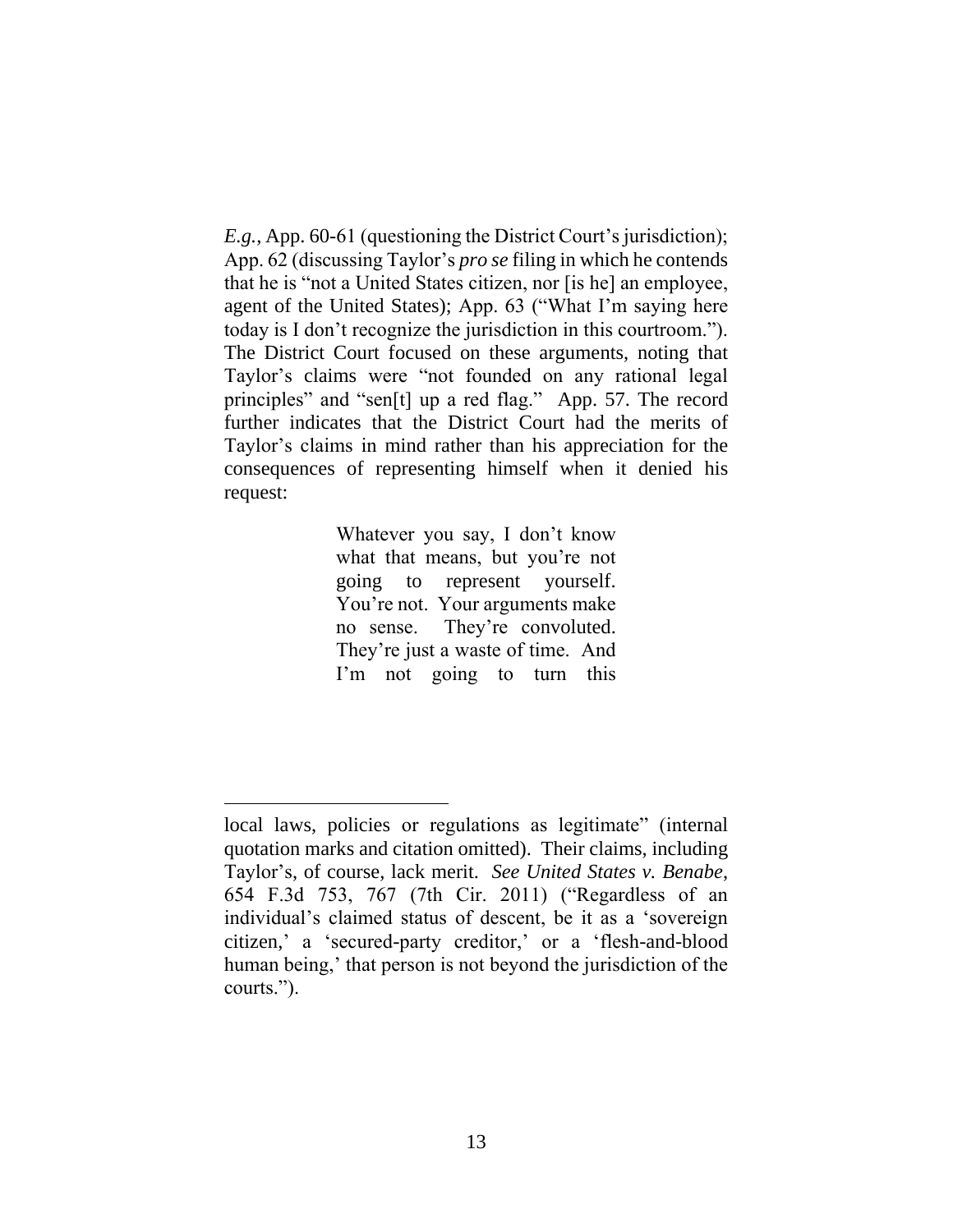*E.g.*, App. 60-61 (questioning the District Court's jurisdiction); App. 62 (discussing Taylor's *pro se* filing in which he contends that he is "not a United States citizen, nor [is he] an employee, agent of the United States); App. 63 ("What I'm saying here today is I don't recognize the jurisdiction in this courtroom."). The District Court focused on these arguments, noting that Taylor's claims were "not founded on any rational legal principles" and "sen[t] up a red flag." App. 57. The record further indicates that the District Court had the merits of Taylor's claims in mind rather than his appreciation for the consequences of representing himself when it denied his request:

> Whatever you say, I don't know what that means, but you're not going to represent yourself. You're not. Your arguments make no sense. They're convoluted. They're just a waste of time. And I'm not going to turn this

local laws, policies or regulations as legitimate" (internal quotation marks and citation omitted). Their claims, including Taylor's, of course, lack merit. *See United States v. Benabe*, 654 F.3d 753, 767 (7th Cir. 2011) ("Regardless of an individual's claimed status of descent, be it as a 'sovereign citizen,' a 'secured-party creditor,' or a 'flesh-and-blood human being,' that person is not beyond the jurisdiction of the courts.").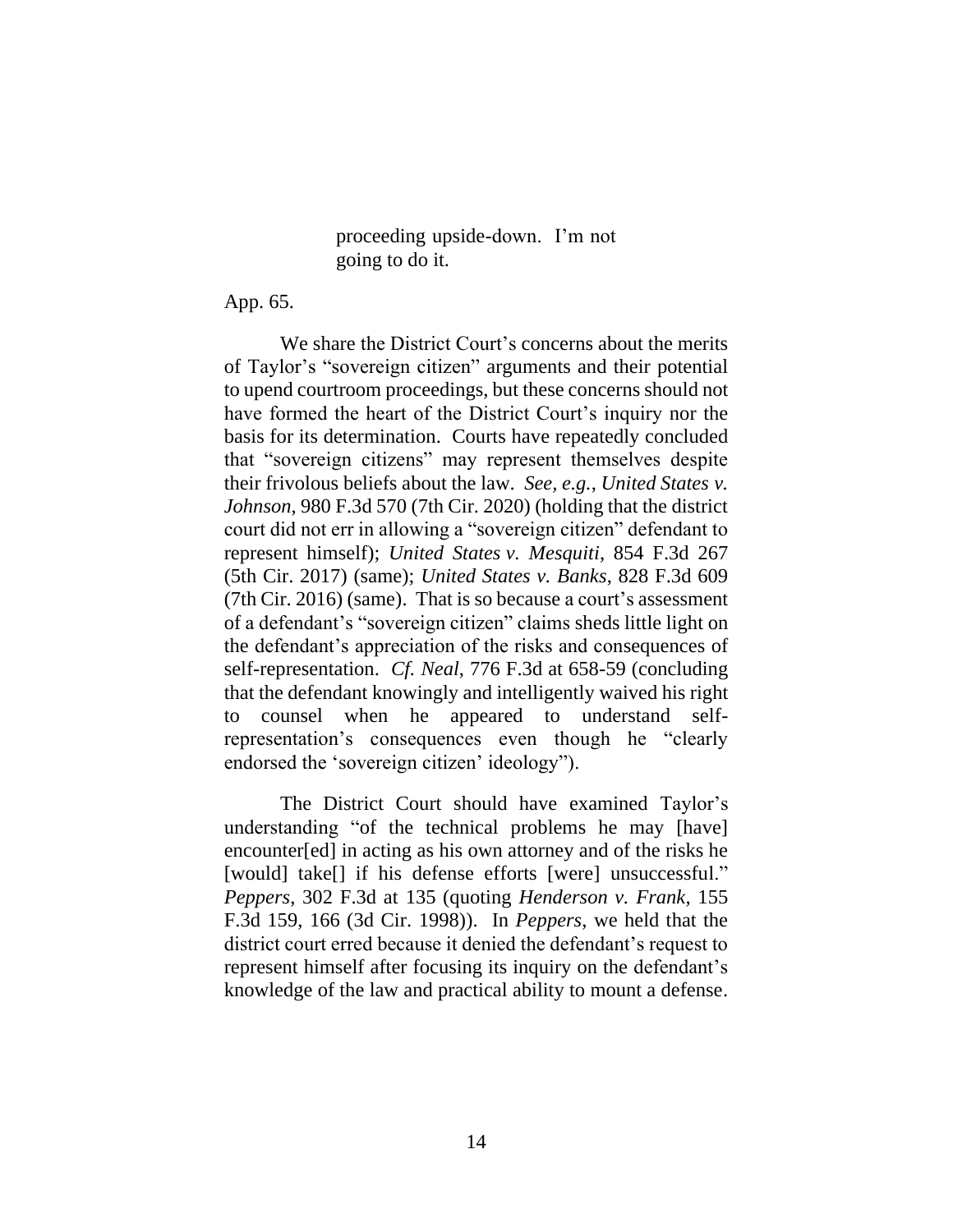proceeding upside-down. I'm not going to do it.

App. 65.

We share the District Court's concerns about the merits of Taylor's "sovereign citizen" arguments and their potential to upend courtroom proceedings, but these concerns should not have formed the heart of the District Court's inquiry nor the basis for its determination. Courts have repeatedly concluded that "sovereign citizens" may represent themselves despite their frivolous beliefs about the law. *See, e.g.*, *United States v. Johnson*, 980 F.3d 570 (7th Cir. 2020) (holding that the district court did not err in allowing a "sovereign citizen" defendant to represent himself); *United States v. Mesquiti*, 854 F.3d 267 (5th Cir. 2017) (same); *United States v. Banks*, 828 F.3d 609 (7th Cir. 2016) (same). That is so because a court's assessment of a defendant's "sovereign citizen" claims sheds little light on the defendant's appreciation of the risks and consequences of self-representation. *Cf. Neal*, 776 F.3d at 658-59 (concluding that the defendant knowingly and intelligently waived his right to counsel when he appeared to understand selfrepresentation's consequences even though he "clearly endorsed the 'sovereign citizen' ideology").

The District Court should have examined Taylor's understanding "of the technical problems he may [have] encounter[ed] in acting as his own attorney and of the risks he [would] take[] if his defense efforts [were] unsuccessful." *Peppers*, 302 F.3d at 135 (quoting *Henderson v. Frank*, 155 F.3d 159, 166 (3d Cir. 1998)). In *Peppers*, we held that the district court erred because it denied the defendant's request to represent himself after focusing its inquiry on the defendant's knowledge of the law and practical ability to mount a defense.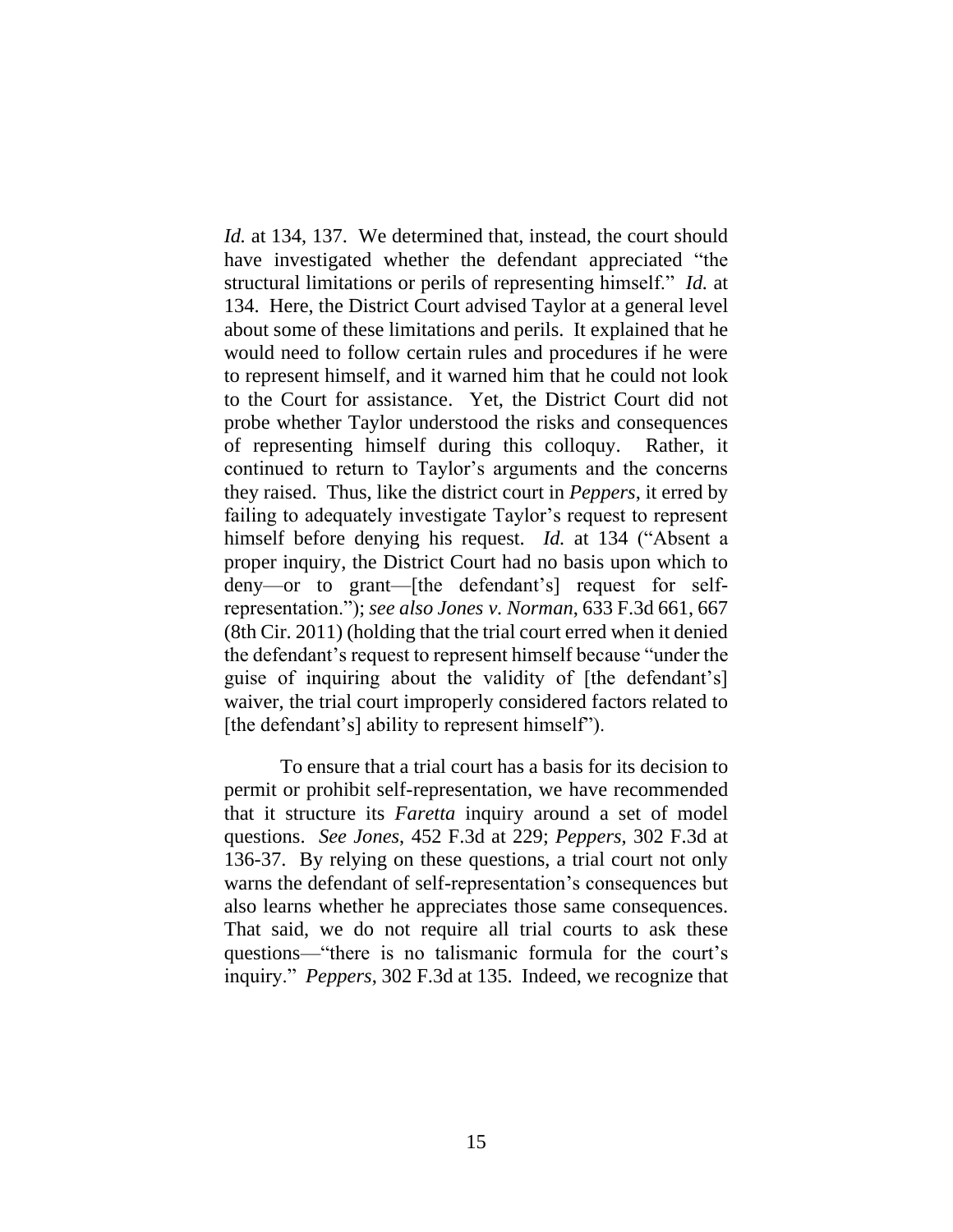*Id.* at 134, 137. We determined that, instead, the court should have investigated whether the defendant appreciated "the structural limitations or perils of representing himself." *Id.* at 134. Here, the District Court advised Taylor at a general level about some of these limitations and perils. It explained that he would need to follow certain rules and procedures if he were to represent himself, and it warned him that he could not look to the Court for assistance. Yet, the District Court did not probe whether Taylor understood the risks and consequences of representing himself during this colloquy. Rather, it continued to return to Taylor's arguments and the concerns they raised. Thus, like the district court in *Peppers*, it erred by failing to adequately investigate Taylor's request to represent himself before denying his request. *Id.* at 134 ("Absent a proper inquiry, the District Court had no basis upon which to deny—or to grant—[the defendant's] request for selfrepresentation."); *see also Jones v. Norman*, 633 F.3d 661, 667 (8th Cir. 2011) (holding that the trial court erred when it denied the defendant's request to represent himself because "under the guise of inquiring about the validity of [the defendant's] waiver, the trial court improperly considered factors related to [the defendant's] ability to represent himself").

To ensure that a trial court has a basis for its decision to permit or prohibit self-representation, we have recommended that it structure its *Faretta* inquiry around a set of model questions. *See Jones*, 452 F.3d at 229; *Peppers*, 302 F.3d at 136-37. By relying on these questions, a trial court not only warns the defendant of self-representation's consequences but also learns whether he appreciates those same consequences. That said, we do not require all trial courts to ask these questions⸻"there is no talismanic formula for the court's inquiry." *Peppers*, 302 F.3d at 135. Indeed, we recognize that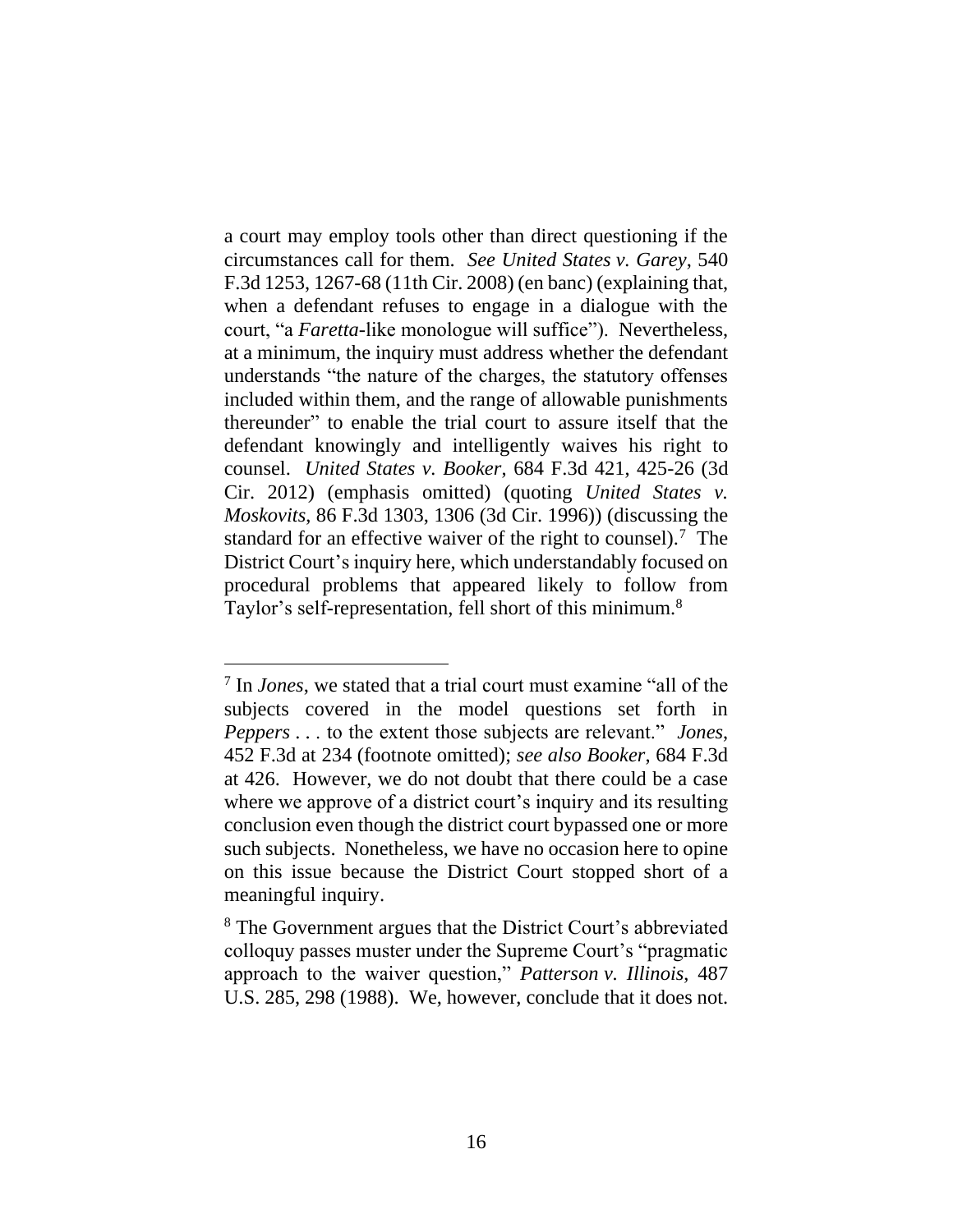a court may employ tools other than direct questioning if the circumstances call for them. *See United States v. Garey*, 540 F.3d 1253, 1267-68 (11th Cir. 2008) (en banc) (explaining that, when a defendant refuses to engage in a dialogue with the court, "a *Faretta*-like monologue will suffice"). Nevertheless, at a minimum, the inquiry must address whether the defendant understands "the nature of the charges, the statutory offenses included within them, and the range of allowable punishments thereunder" to enable the trial court to assure itself that the defendant knowingly and intelligently waives his right to counsel. *United States v. Booker*, 684 F.3d 421, 425-26 (3d Cir. 2012) (emphasis omitted) (quoting *United States v. Moskovits*, 86 F.3d 1303, 1306 (3d Cir. 1996)) (discussing the standard for an effective waiver of the right to counsel).<sup>7</sup> The District Court's inquiry here, which understandably focused on procedural problems that appeared likely to follow from Taylor's self-representation, fell short of this minimum.<sup>8</sup>

<sup>7</sup> In *Jones*, we stated that a trial court must examine "all of the subjects covered in the model questions set forth in *Peppers* . . . to the extent those subjects are relevant." *Jones*, 452 F.3d at 234 (footnote omitted); *see also Booker*, 684 F.3d at 426. However, we do not doubt that there could be a case where we approve of a district court's inquiry and its resulting conclusion even though the district court bypassed one or more such subjects. Nonetheless, we have no occasion here to opine on this issue because the District Court stopped short of a meaningful inquiry.

<sup>8</sup> The Government argues that the District Court's abbreviated colloquy passes muster under the Supreme Court's "pragmatic approach to the waiver question," *Patterson v. Illinois*, 487 U.S. 285, 298 (1988). We, however, conclude that it does not.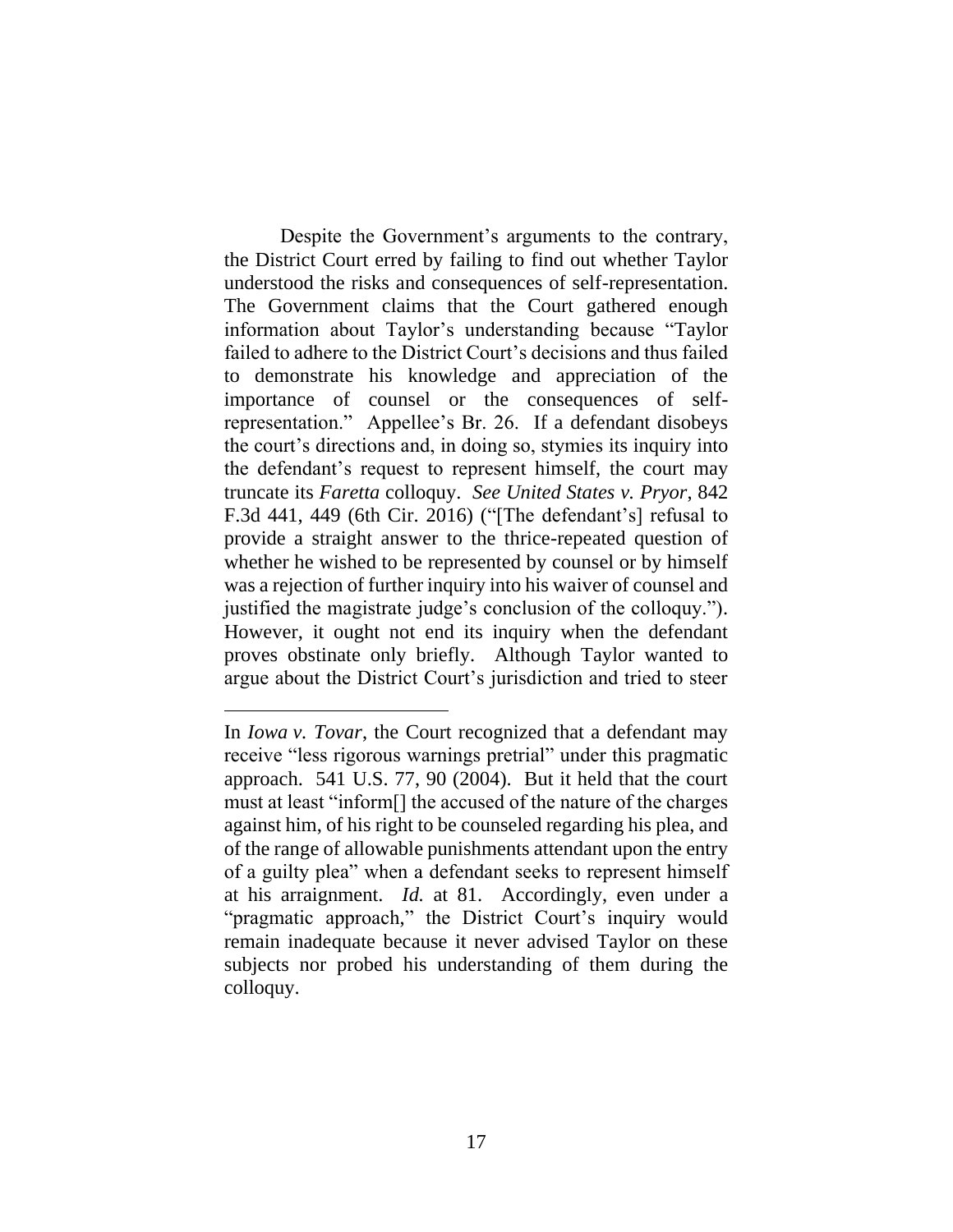Despite the Government's arguments to the contrary, the District Court erred by failing to find out whether Taylor understood the risks and consequences of self-representation. The Government claims that the Court gathered enough information about Taylor's understanding because "Taylor failed to adhere to the District Court's decisions and thus failed to demonstrate his knowledge and appreciation of the importance of counsel or the consequences of selfrepresentation." Appellee's Br. 26. If a defendant disobeys the court's directions and, in doing so, stymies its inquiry into the defendant's request to represent himself, the court may truncate its *Faretta* colloquy. *See United States v. Pryor*, 842 F.3d 441, 449 (6th Cir. 2016) ("[The defendant's] refusal to provide a straight answer to the thrice-repeated question of whether he wished to be represented by counsel or by himself was a rejection of further inquiry into his waiver of counsel and justified the magistrate judge's conclusion of the colloquy."). However, it ought not end its inquiry when the defendant proves obstinate only briefly. Although Taylor wanted to argue about the District Court's jurisdiction and tried to steer

In *Iowa v. Tovar*, the Court recognized that a defendant may receive "less rigorous warnings pretrial" under this pragmatic approach. 541 U.S. 77, 90 (2004). But it held that the court must at least "inform[] the accused of the nature of the charges against him, of his right to be counseled regarding his plea, and of the range of allowable punishments attendant upon the entry of a guilty plea" when a defendant seeks to represent himself at his arraignment. *Id.* at 81. Accordingly, even under a "pragmatic approach," the District Court's inquiry would remain inadequate because it never advised Taylor on these subjects nor probed his understanding of them during the colloquy.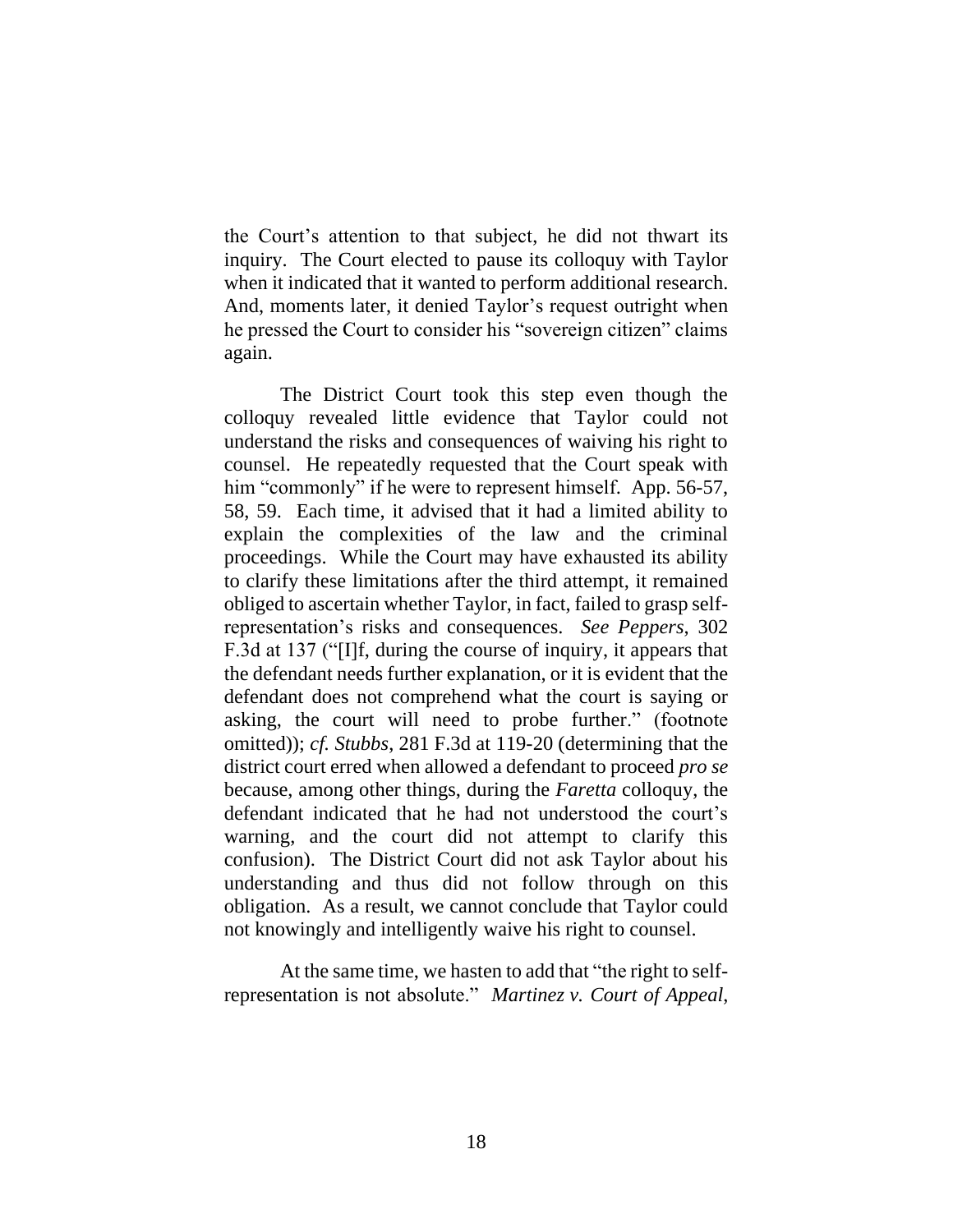the Court's attention to that subject, he did not thwart its inquiry. The Court elected to pause its colloquy with Taylor when it indicated that it wanted to perform additional research. And, moments later, it denied Taylor's request outright when he pressed the Court to consider his "sovereign citizen" claims again.

The District Court took this step even though the colloquy revealed little evidence that Taylor could not understand the risks and consequences of waiving his right to counsel. He repeatedly requested that the Court speak with him "commonly" if he were to represent himself. App. 56-57, 58, 59. Each time, it advised that it had a limited ability to explain the complexities of the law and the criminal proceedings. While the Court may have exhausted its ability to clarify these limitations after the third attempt, it remained obliged to ascertain whether Taylor, in fact, failed to grasp selfrepresentation's risks and consequences. *See Peppers*, 302 F.3d at 137 ("[I]f, during the course of inquiry, it appears that the defendant needs further explanation, or it is evident that the defendant does not comprehend what the court is saying or asking, the court will need to probe further." (footnote omitted)); *cf. Stubbs*, 281 F.3d at 119-20 (determining that the district court erred when allowed a defendant to proceed *pro se* because, among other things, during the *Faretta* colloquy, the defendant indicated that he had not understood the court's warning, and the court did not attempt to clarify this confusion). The District Court did not ask Taylor about his understanding and thus did not follow through on this obligation. As a result, we cannot conclude that Taylor could not knowingly and intelligently waive his right to counsel.

At the same time, we hasten to add that "the right to selfrepresentation is not absolute." *Martinez v. Court of Appeal*,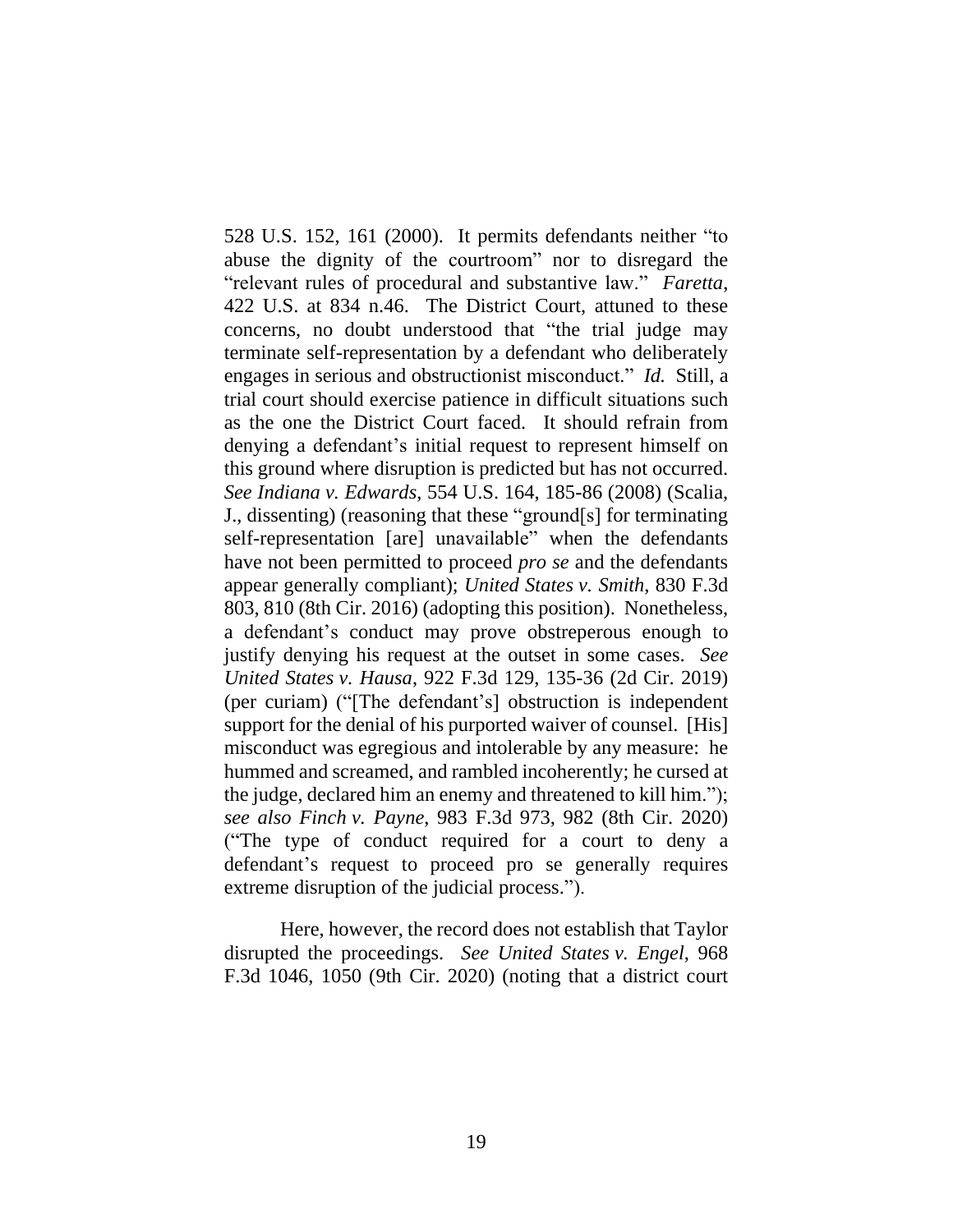528 U.S. 152, 161 (2000). It permits defendants neither "to abuse the dignity of the courtroom" nor to disregard the "relevant rules of procedural and substantive law." *Faretta*, 422 U.S. at 834 n.46. The District Court, attuned to these concerns, no doubt understood that "the trial judge may terminate self-representation by a defendant who deliberately engages in serious and obstructionist misconduct." *Id.* Still, a trial court should exercise patience in difficult situations such as the one the District Court faced. It should refrain from denying a defendant's initial request to represent himself on this ground where disruption is predicted but has not occurred. *See Indiana v. Edwards*, 554 U.S. 164, 185-86 (2008) (Scalia, J., dissenting) (reasoning that these "ground[s] for terminating self-representation [are] unavailable" when the defendants have not been permitted to proceed *pro se* and the defendants appear generally compliant); *United States v. Smith*, 830 F.3d 803, 810 (8th Cir. 2016) (adopting this position). Nonetheless, a defendant's conduct may prove obstreperous enough to justify denying his request at the outset in some cases. *See United States v. Hausa*, 922 F.3d 129, 135-36 (2d Cir. 2019) (per curiam) ("[The defendant's] obstruction is independent support for the denial of his purported waiver of counsel. [His] misconduct was egregious and intolerable by any measure: he hummed and screamed, and rambled incoherently; he cursed at the judge, declared him an enemy and threatened to kill him."); *see also Finch v. Payne*, 983 F.3d 973, 982 (8th Cir. 2020) ("The type of conduct required for a court to deny a defendant's request to proceed pro se generally requires extreme disruption of the judicial process.").

Here, however, the record does not establish that Taylor disrupted the proceedings. *See United States v. Engel*, 968 F.3d 1046, 1050 (9th Cir. 2020) (noting that a district court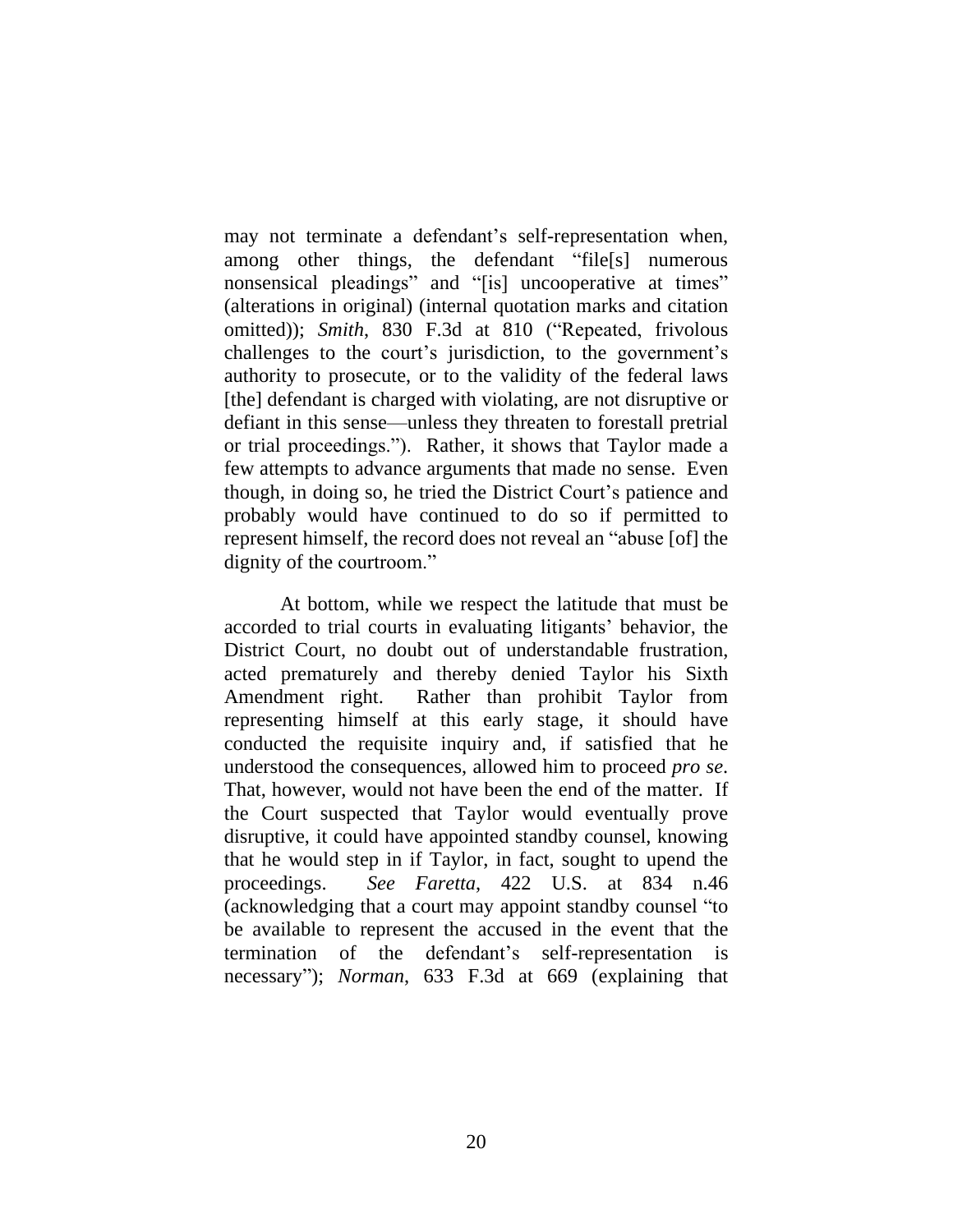may not terminate a defendant's self-representation when, among other things, the defendant "file[s] numerous nonsensical pleadings" and "[is] uncooperative at times" (alterations in original) (internal quotation marks and citation omitted)); *Smith*, 830 F.3d at 810 ("Repeated, frivolous challenges to the court's jurisdiction, to the government's authority to prosecute, or to the validity of the federal laws [the] defendant is charged with violating, are not disruptive or defiant in this sense—unless they threaten to forestall pretrial or trial proceedings."). Rather, it shows that Taylor made a few attempts to advance arguments that made no sense. Even though, in doing so, he tried the District Court's patience and probably would have continued to do so if permitted to represent himself, the record does not reveal an "abuse [of] the dignity of the courtroom."

At bottom, while we respect the latitude that must be accorded to trial courts in evaluating litigants' behavior, the District Court, no doubt out of understandable frustration, acted prematurely and thereby denied Taylor his Sixth Amendment right. Rather than prohibit Taylor from representing himself at this early stage, it should have conducted the requisite inquiry and, if satisfied that he understood the consequences, allowed him to proceed *pro se*. That, however, would not have been the end of the matter. If the Court suspected that Taylor would eventually prove disruptive, it could have appointed standby counsel, knowing that he would step in if Taylor, in fact, sought to upend the proceedings. *See Faretta*, 422 U.S. at 834 n.46 (acknowledging that a court may appoint standby counsel "to be available to represent the accused in the event that the termination of the defendant's self-representation is necessary"); *Norman*, 633 F.3d at 669 (explaining that